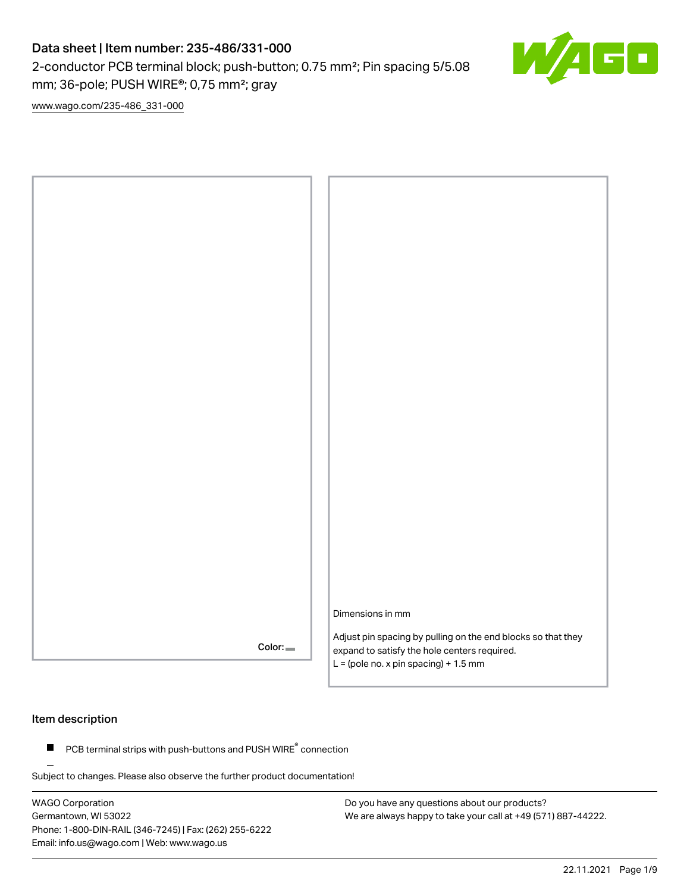2-conductor PCB terminal block; push-button; 0.75 mm²; Pin spacing 5/5.08 mm; 36-pole; PUSH WIRE®; 0,75 mm²; gray

 $\sqrt{ }$ 

[www.wago.com/235-486\\_331-000](http://www.wago.com/235-486_331-000)



## Item description

 $\blacksquare$  PCB terminal strips with push-buttons and PUSH WIRE $\degree$  connection

Subject to changes. Please also observe the further product documentation!

WAGO Corporation Germantown, WI 53022 Phone: 1-800-DIN-RAIL (346-7245) | Fax: (262) 255-6222 Email: info.us@wago.com | Web: www.wago.us

Do you have any questions about our products? We are always happy to take your call at +49 (571) 887-44222.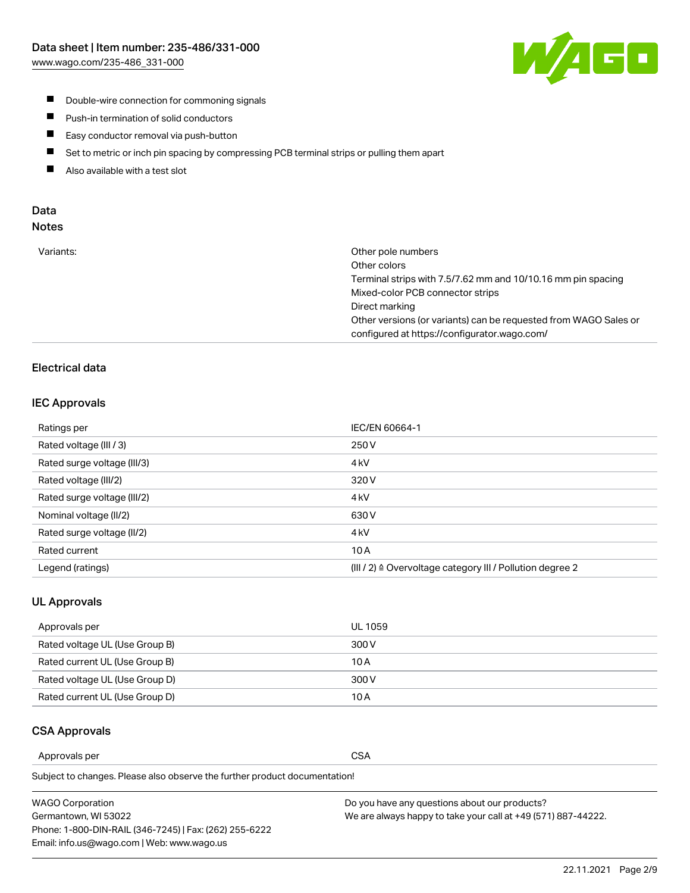

- **Double-wire connection for commoning signals**
- $\blacksquare$ Push-in termination of solid conductors
- Easy conductor removal via push-button  $\blacksquare$
- $\blacksquare$ Set to metric or inch pin spacing by compressing PCB terminal strips or pulling them apart
- $\blacksquare$ Also available with a test slot

## Data Notes

| Variants: | Other pole numbers<br>Other colors                               |
|-----------|------------------------------------------------------------------|
|           |                                                                  |
|           | Terminal strips with 7.5/7.62 mm and 10/10.16 mm pin spacing     |
|           | Mixed-color PCB connector strips                                 |
|           | Direct marking                                                   |
|           | Other versions (or variants) can be requested from WAGO Sales or |
|           | configured at https://configurator.wago.com/                     |
|           |                                                                  |

## Electrical data

## IEC Approvals

| Ratings per                 | IEC/EN 60664-1                                                        |
|-----------------------------|-----------------------------------------------------------------------|
| Rated voltage (III / 3)     | 250 V                                                                 |
| Rated surge voltage (III/3) | 4 <sub>k</sub> V                                                      |
| Rated voltage (III/2)       | 320 V                                                                 |
| Rated surge voltage (III/2) | 4 <sub>k</sub> V                                                      |
| Nominal voltage (II/2)      | 630 V                                                                 |
| Rated surge voltage (II/2)  | 4 <sub>k</sub> V                                                      |
| Rated current               | 10A                                                                   |
| Legend (ratings)            | $(III / 2)$ $\triangle$ Overvoltage category III / Pollution degree 2 |

#### UL Approvals

| Approvals per                  | UL 1059 |
|--------------------------------|---------|
| Rated voltage UL (Use Group B) | 300 V   |
| Rated current UL (Use Group B) | 10 A    |
| Rated voltage UL (Use Group D) | 300 V   |
| Rated current UL (Use Group D) | 10 A    |

### CSA Approvals

Approvals per CSA

Subject to changes. Please also observe the further product documentation!

| WAGO Corporation                                       | Do you have any questions about our products?                 |
|--------------------------------------------------------|---------------------------------------------------------------|
| Germantown, WI 53022                                   | We are always happy to take your call at +49 (571) 887-44222. |
| Phone: 1-800-DIN-RAIL (346-7245)   Fax: (262) 255-6222 |                                                               |
| Email: info.us@wago.com   Web: www.wago.us             |                                                               |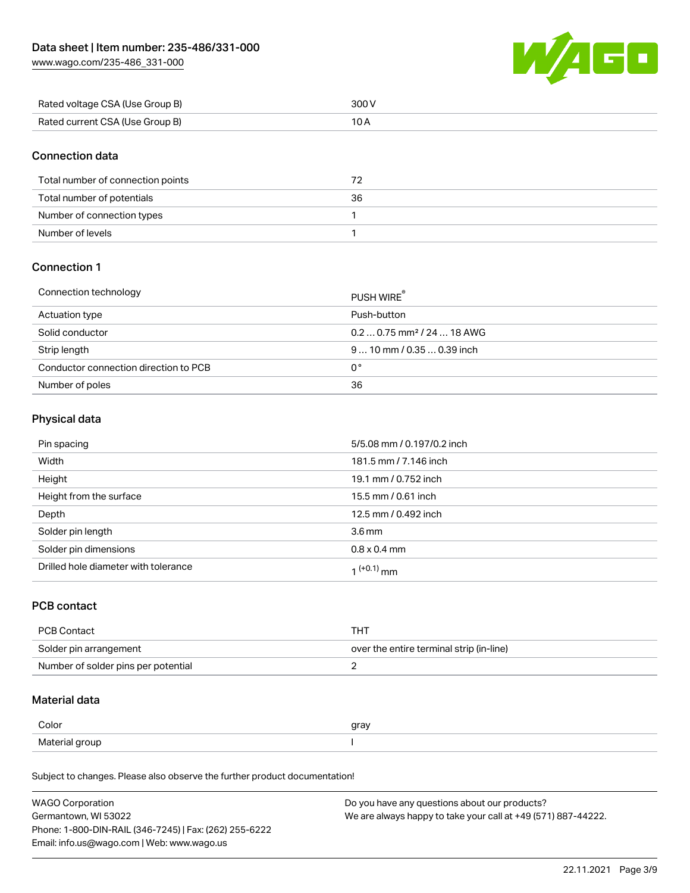[www.wago.com/235-486\\_331-000](http://www.wago.com/235-486_331-000)



| Rated voltage CSA (Use Group B) | 300 V |
|---------------------------------|-------|
| Rated current CSA (Use Group B) |       |

## Connection data

| Total number of connection points |    |
|-----------------------------------|----|
| Total number of potentials        | 36 |
| Number of connection types        |    |
| Number of levels                  |    |

## Connection 1

| Connection technology                 | PUSH WIRE <sup>®</sup>                 |
|---------------------------------------|----------------------------------------|
| Actuation type                        | Push-button                            |
| Solid conductor                       | $0.20.75$ mm <sup>2</sup> / 24  18 AWG |
| Strip length                          | $910$ mm $/0.350.39$ inch              |
| Conductor connection direction to PCB | 0°                                     |
| Number of poles                       | 36                                     |

## Physical data

| Pin spacing                          | 5/5.08 mm / 0.197/0.2 inch |
|--------------------------------------|----------------------------|
| Width                                | 181.5 mm / 7.146 inch      |
| Height                               | 19.1 mm / 0.752 inch       |
| Height from the surface              | 15.5 mm / 0.61 inch        |
| Depth                                | 12.5 mm / 0.492 inch       |
| Solder pin length                    | 3.6 <sub>mm</sub>          |
| Solder pin dimensions                | $0.8 \times 0.4$ mm        |
| Drilled hole diameter with tolerance | 1 <sup>(+0.1)</sup> mm     |

### PCB contact

| PCB Contact                         | тнт                                      |
|-------------------------------------|------------------------------------------|
| Solder pin arrangement              | over the entire terminal strip (in-line) |
| Number of solder pins per potential |                                          |

## Material data

| Color          | gray |
|----------------|------|
| Material group |      |

Subject to changes. Please also observe the further product documentation!

| <b>WAGO Corporation</b>                                | Do you have any questions about our products?                 |
|--------------------------------------------------------|---------------------------------------------------------------|
| Germantown, WI 53022                                   | We are always happy to take your call at +49 (571) 887-44222. |
| Phone: 1-800-DIN-RAIL (346-7245)   Fax: (262) 255-6222 |                                                               |
| Email: info.us@wago.com   Web: www.wago.us             |                                                               |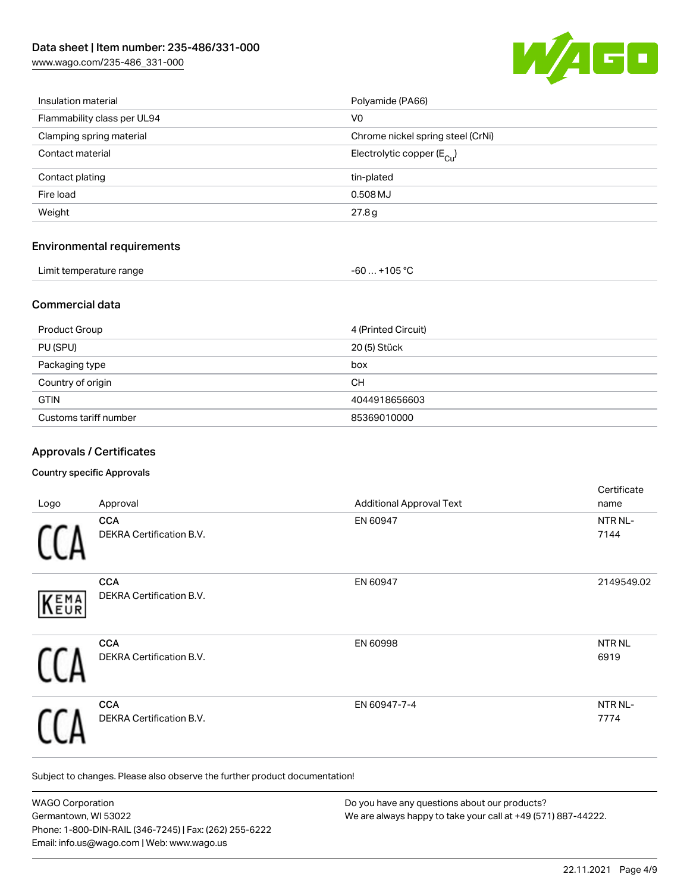[www.wago.com/235-486\\_331-000](http://www.wago.com/235-486_331-000)



| Insulation material               | Polyamide (PA66)                      |
|-----------------------------------|---------------------------------------|
| Flammability class per UL94       | V <sub>0</sub>                        |
| Clamping spring material          | Chrome nickel spring steel (CrNi)     |
| Contact material                  | Electrolytic copper $(E_{\text{Cl}})$ |
| Contact plating                   | tin-plated                            |
| Fire load                         | 0.508 MJ                              |
| Weight                            | 27.8g                                 |
| <b>Environmental requirements</b> |                                       |
| Limit temperature range           | $-60+105 °C$                          |
|                                   |                                       |

## Commercial data

| Product Group         | 4 (Printed Circuit) |
|-----------------------|---------------------|
| PU (SPU)              | 20 (5) Stück        |
| Packaging type        | box                 |
| Country of origin     | <b>CH</b>           |
| <b>GTIN</b>           | 4044918656603       |
| Customs tariff number | 85369010000         |

## Approvals / Certificates

#### Country specific Approvals

| Logo        | Approval                                      | <b>Additional Approval Text</b> | Certificate<br>name       |
|-------------|-----------------------------------------------|---------------------------------|---------------------------|
|             | <b>CCA</b><br><b>DEKRA Certification B.V.</b> | EN 60947                        | NTR NL-<br>7144           |
| <b>KEMA</b> | <b>CCA</b><br>DEKRA Certification B.V.        | EN 60947                        | 2149549.02                |
|             | <b>CCA</b><br>DEKRA Certification B.V.        | EN 60998                        | NTR <sub>NL</sub><br>6919 |
|             | <b>CCA</b><br><b>DEKRA Certification B.V.</b> | EN 60947-7-4                    | NTR NL-<br>7774           |

Subject to changes. Please also observe the further product documentation!

| <b>WAGO Corporation</b>                                | Do you have any questions about our products?                 |
|--------------------------------------------------------|---------------------------------------------------------------|
| Germantown, WI 53022                                   | We are always happy to take your call at +49 (571) 887-44222. |
| Phone: 1-800-DIN-RAIL (346-7245)   Fax: (262) 255-6222 |                                                               |
| Email: info.us@wago.com   Web: www.wago.us             |                                                               |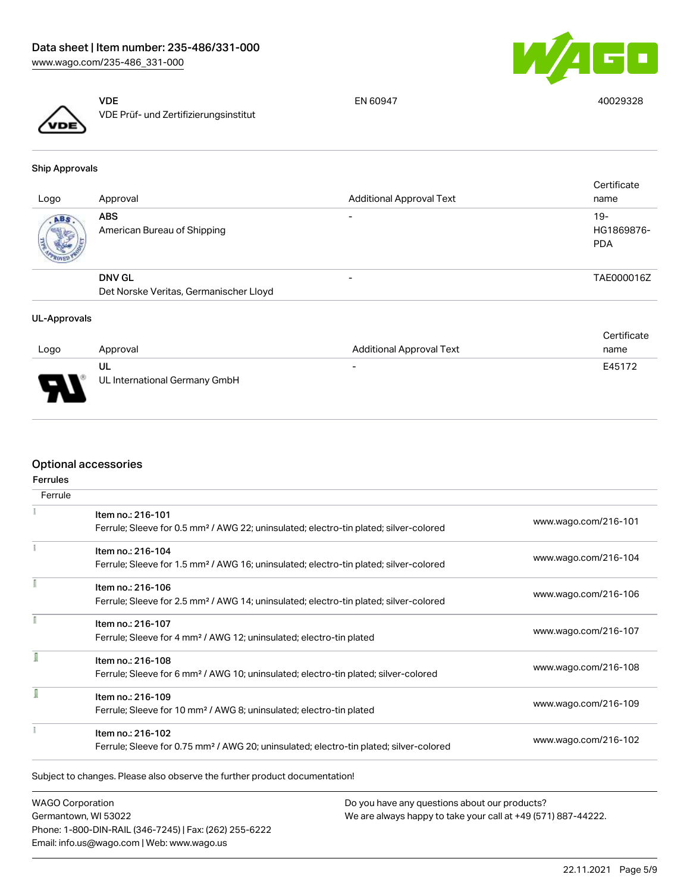



VDE VDE Prüf- und Zertifizierungsinstitut

EN 60947 40029328

Ship Approvals

| Logo | Approval                                                | <b>Additional Approval Text</b> | Certificate<br>name               |
|------|---------------------------------------------------------|---------------------------------|-----------------------------------|
| ABS. | <b>ABS</b><br>American Bureau of Shipping               | $\overline{\phantom{0}}$        | $19-$<br>HG1869876-<br><b>PDA</b> |
|      | <b>DNV GL</b><br>Det Norske Veritas, Germanischer Lloyd |                                 | TAE000016Z                        |
|      |                                                         |                                 |                                   |

#### UL-Approvals

|      |                                     |                                 | Certificate |
|------|-------------------------------------|---------------------------------|-------------|
| Logo | Approval                            | <b>Additional Approval Text</b> | name        |
| J    | UL<br>UL International Germany GmbH | $\overline{\phantom{0}}$        | E45172      |
| ┳    |                                     |                                 |             |

## Optional accessories

| <b>Ferrules</b> |                                                                                                    |                      |
|-----------------|----------------------------------------------------------------------------------------------------|----------------------|
| Ferrule         |                                                                                                    |                      |
|                 | Item no.: 216-101                                                                                  | www.wago.com/216-101 |
|                 | Ferrule; Sleeve for 0.5 mm <sup>2</sup> / AWG 22; uninsulated; electro-tin plated; silver-colored  |                      |
|                 | Item no.: 216-104                                                                                  | www.wago.com/216-104 |
|                 | Ferrule; Sleeve for 1.5 mm <sup>2</sup> / AWG 16; uninsulated; electro-tin plated; silver-colored  |                      |
|                 | Item no.: 216-106                                                                                  |                      |
|                 | Ferrule; Sleeve for 2.5 mm <sup>2</sup> / AWG 14; uninsulated; electro-tin plated; silver-colored  | www.wago.com/216-106 |
|                 | Item no.: 216-107                                                                                  |                      |
|                 | Ferrule; Sleeve for 4 mm <sup>2</sup> / AWG 12; uninsulated; electro-tin plated                    | www.wago.com/216-107 |
|                 | Item no.: 216-108                                                                                  |                      |
|                 | Ferrule; Sleeve for 6 mm <sup>2</sup> / AWG 10; uninsulated; electro-tin plated; silver-colored    | www.wago.com/216-108 |
| ĺ               | Item no.: 216-109                                                                                  |                      |
|                 | Ferrule; Sleeve for 10 mm <sup>2</sup> / AWG 8; uninsulated; electro-tin plated                    | www.wago.com/216-109 |
|                 | Item no.: 216-102                                                                                  |                      |
|                 | Ferrule; Sleeve for 0.75 mm <sup>2</sup> / AWG 20; uninsulated; electro-tin plated; silver-colored | www.wago.com/216-102 |

WAGO Corporation Germantown, WI 53022 Phone: 1-800-DIN-RAIL (346-7245) | Fax: (262) 255-6222 Email: info.us@wago.com | Web: www.wago.us

Do you have any questions about our products? We are always happy to take your call at +49 (571) 887-44222.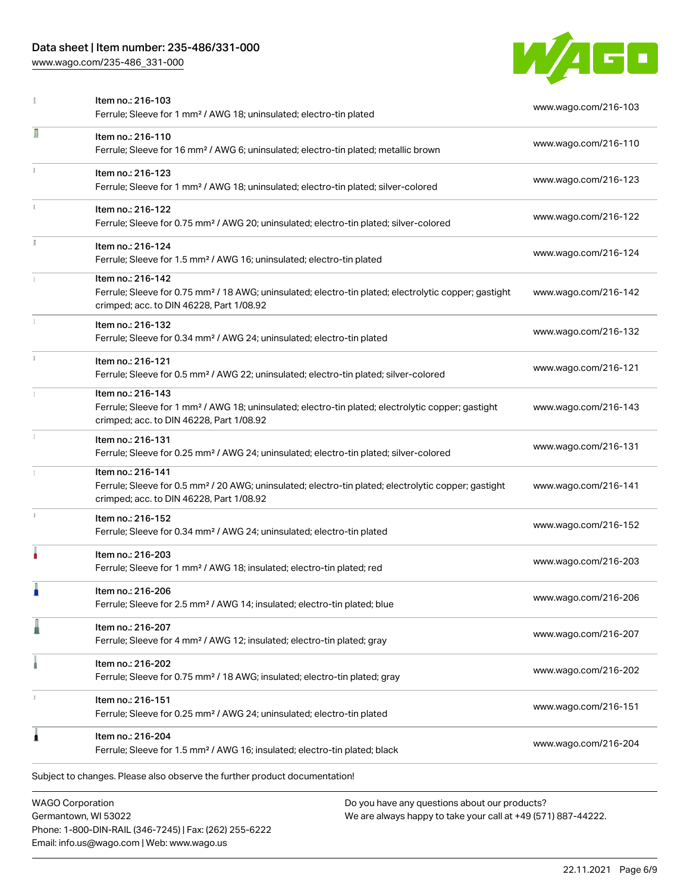Phone: 1-800-DIN-RAIL (346-7245) | Fax: (262) 255-6222

Email: info.us@wago.com | Web: www.wago.us

[www.wago.com/235-486\\_331-000](http://www.wago.com/235-486_331-000)



|   | Item no.: 216-103<br>Ferrule; Sleeve for 1 mm <sup>2</sup> / AWG 18; uninsulated; electro-tin plated                                                                               |                                                                                                                | www.wago.com/216-103 |
|---|------------------------------------------------------------------------------------------------------------------------------------------------------------------------------------|----------------------------------------------------------------------------------------------------------------|----------------------|
| Л | Item no.: 216-110<br>Ferrule; Sleeve for 16 mm <sup>2</sup> / AWG 6; uninsulated; electro-tin plated; metallic brown                                                               |                                                                                                                | www.wago.com/216-110 |
|   | Item no.: 216-123<br>Ferrule; Sleeve for 1 mm <sup>2</sup> / AWG 18; uninsulated; electro-tin plated; silver-colored                                                               |                                                                                                                | www.wago.com/216-123 |
|   | Item no.: 216-122<br>Ferrule; Sleeve for 0.75 mm <sup>2</sup> / AWG 20; uninsulated; electro-tin plated; silver-colored                                                            |                                                                                                                | www.wago.com/216-122 |
|   | Item no.: 216-124<br>Ferrule; Sleeve for 1.5 mm <sup>2</sup> / AWG 16; uninsulated; electro-tin plated                                                                             |                                                                                                                | www.wago.com/216-124 |
|   | Item no.: 216-142<br>Ferrule; Sleeve for 0.75 mm <sup>2</sup> / 18 AWG; uninsulated; electro-tin plated; electrolytic copper; gastight<br>crimped; acc. to DIN 46228, Part 1/08.92 |                                                                                                                | www.wago.com/216-142 |
|   | Item no.: 216-132<br>Ferrule; Sleeve for 0.34 mm <sup>2</sup> / AWG 24; uninsulated; electro-tin plated                                                                            |                                                                                                                | www.wago.com/216-132 |
|   | Item no.: 216-121<br>Ferrule; Sleeve for 0.5 mm <sup>2</sup> / AWG 22; uninsulated; electro-tin plated; silver-colored                                                             |                                                                                                                | www.wago.com/216-121 |
|   | Item no.: 216-143<br>Ferrule; Sleeve for 1 mm <sup>2</sup> / AWG 18; uninsulated; electro-tin plated; electrolytic copper; gastight<br>crimped; acc. to DIN 46228, Part 1/08.92    |                                                                                                                | www.wago.com/216-143 |
|   | Item no.: 216-131<br>Ferrule; Sleeve for 0.25 mm <sup>2</sup> / AWG 24; uninsulated; electro-tin plated; silver-colored                                                            |                                                                                                                | www.wago.com/216-131 |
|   | Item no.: 216-141<br>Ferrule; Sleeve for 0.5 mm <sup>2</sup> / 20 AWG; uninsulated; electro-tin plated; electrolytic copper; gastight<br>crimped; acc. to DIN 46228, Part 1/08.92  |                                                                                                                | www.wago.com/216-141 |
|   | Item no.: 216-152<br>Ferrule; Sleeve for 0.34 mm <sup>2</sup> / AWG 24; uninsulated; electro-tin plated                                                                            |                                                                                                                | www.wago.com/216-152 |
|   | Item no.: 216-203<br>Ferrule; Sleeve for 1 mm <sup>2</sup> / AWG 18; insulated; electro-tin plated; red                                                                            |                                                                                                                | www.wago.com/216-203 |
|   | Item no.: 216-206<br>Ferrule; Sleeve for 2.5 mm <sup>2</sup> / AWG 14; insulated; electro-tin plated; blue                                                                         |                                                                                                                | www.wago.com/216-206 |
|   | Item no.: 216-207<br>Ferrule; Sleeve for 4 mm <sup>2</sup> / AWG 12; insulated; electro-tin plated; gray                                                                           |                                                                                                                | www.wago.com/216-207 |
|   | Item no.: 216-202<br>Ferrule; Sleeve for 0.75 mm <sup>2</sup> / 18 AWG; insulated; electro-tin plated; gray                                                                        |                                                                                                                | www.wago.com/216-202 |
|   | Item no.: 216-151<br>Ferrule; Sleeve for 0.25 mm <sup>2</sup> / AWG 24; uninsulated; electro-tin plated                                                                            |                                                                                                                | www.wago.com/216-151 |
|   | Item no.: 216-204<br>Ferrule; Sleeve for 1.5 mm <sup>2</sup> / AWG 16; insulated; electro-tin plated; black                                                                        |                                                                                                                | www.wago.com/216-204 |
|   | Subject to changes. Please also observe the further product documentation!                                                                                                         |                                                                                                                |                      |
|   | <b>WAGO Corporation</b><br>Germantown, WI 53022                                                                                                                                    | Do you have any questions about our products?<br>We are always happy to take your call at +49 (571) 887-44222. |                      |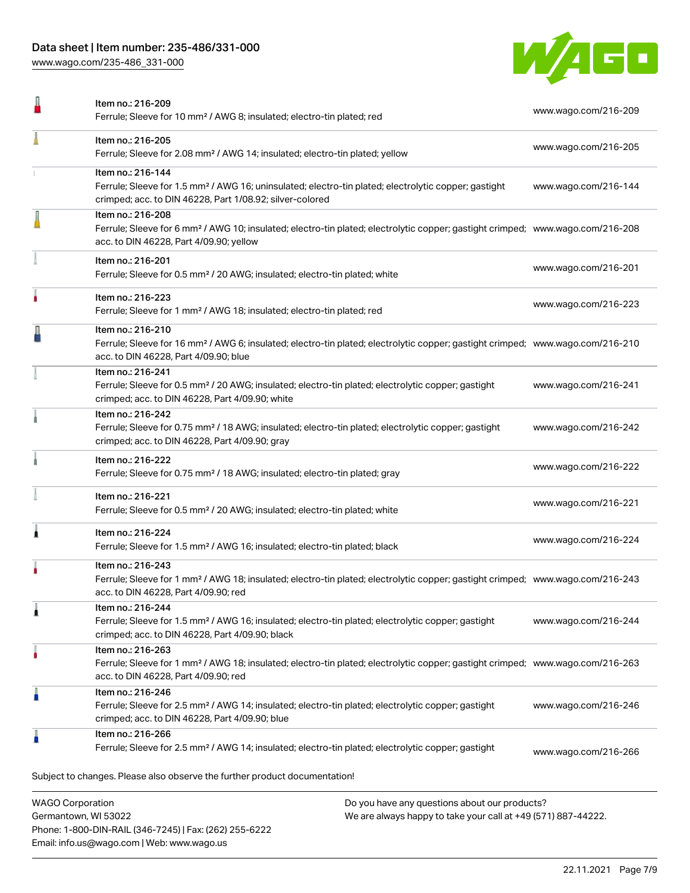[www.wago.com/235-486\\_331-000](http://www.wago.com/235-486_331-000)



|   | Item no.: 216-209<br>Ferrule; Sleeve for 10 mm <sup>2</sup> / AWG 8; insulated; electro-tin plated; red                                                                                                    | www.wago.com/216-209 |
|---|------------------------------------------------------------------------------------------------------------------------------------------------------------------------------------------------------------|----------------------|
|   | Item no.: 216-205<br>Ferrule; Sleeve for 2.08 mm <sup>2</sup> / AWG 14; insulated; electro-tin plated; yellow                                                                                              | www.wago.com/216-205 |
|   | Item no.: 216-144<br>Ferrule; Sleeve for 1.5 mm <sup>2</sup> / AWG 16; uninsulated; electro-tin plated; electrolytic copper; gastight<br>crimped; acc. to DIN 46228, Part 1/08.92; silver-colored          | www.wago.com/216-144 |
|   | Item no.: 216-208<br>Ferrule; Sleeve for 6 mm <sup>2</sup> / AWG 10; insulated; electro-tin plated; electrolytic copper; gastight crimped; www.wago.com/216-208<br>acc. to DIN 46228, Part 4/09.90; yellow |                      |
|   | Item no.: 216-201<br>Ferrule; Sleeve for 0.5 mm <sup>2</sup> / 20 AWG; insulated; electro-tin plated; white                                                                                                | www.wago.com/216-201 |
|   | Item no.: 216-223<br>Ferrule; Sleeve for 1 mm <sup>2</sup> / AWG 18; insulated; electro-tin plated; red                                                                                                    | www.wago.com/216-223 |
|   | Item no.: 216-210<br>Ferrule; Sleeve for 16 mm <sup>2</sup> / AWG 6; insulated; electro-tin plated; electrolytic copper; gastight crimped; www.wago.com/216-210<br>acc. to DIN 46228, Part 4/09.90; blue   |                      |
|   | Item no.: 216-241<br>Ferrule; Sleeve for 0.5 mm <sup>2</sup> / 20 AWG; insulated; electro-tin plated; electrolytic copper; gastight<br>crimped; acc. to DIN 46228, Part 4/09.90; white                     | www.wago.com/216-241 |
|   | Item no.: 216-242<br>Ferrule; Sleeve for 0.75 mm <sup>2</sup> / 18 AWG; insulated; electro-tin plated; electrolytic copper; gastight<br>crimped; acc. to DIN 46228, Part 4/09.90; gray                     | www.wago.com/216-242 |
|   | Item no.: 216-222<br>Ferrule; Sleeve for 0.75 mm <sup>2</sup> / 18 AWG; insulated; electro-tin plated; gray                                                                                                | www.wago.com/216-222 |
|   | Item no.: 216-221<br>Ferrule; Sleeve for 0.5 mm <sup>2</sup> / 20 AWG; insulated; electro-tin plated; white                                                                                                | www.wago.com/216-221 |
|   | Item no.: 216-224<br>Ferrule; Sleeve for 1.5 mm <sup>2</sup> / AWG 16; insulated; electro-tin plated; black                                                                                                | www.wago.com/216-224 |
|   | Item no.: 216-243<br>Ferrule; Sleeve for 1 mm <sup>2</sup> / AWG 18; insulated; electro-tin plated; electrolytic copper; gastight crimped; www.wago.com/216-243<br>acc. to DIN 46228, Part 4/09.90; red    |                      |
|   | Item no.: 216-244<br>Ferrule; Sleeve for 1.5 mm <sup>2</sup> / AWG 16; insulated; electro-tin plated; electrolytic copper; gastight<br>crimped; acc. to DIN 46228, Part 4/09.90; black                     | www.wago.com/216-244 |
|   | Item no.: 216-263<br>Ferrule; Sleeve for 1 mm <sup>2</sup> / AWG 18; insulated; electro-tin plated; electrolytic copper; gastight crimped; www.wago.com/216-263<br>acc. to DIN 46228, Part 4/09.90; red    |                      |
|   | Item no.: 216-246<br>Ferrule; Sleeve for 2.5 mm <sup>2</sup> / AWG 14; insulated; electro-tin plated; electrolytic copper; gastight<br>crimped; acc. to DIN 46228, Part 4/09.90; blue                      | www.wago.com/216-246 |
| Å | Item no.: 216-266<br>Ferrule; Sleeve for 2.5 mm <sup>2</sup> / AWG 14; insulated; electro-tin plated; electrolytic copper; gastight                                                                        | www.wago.com/216-266 |
|   | Subject to changes. Please also observe the further product documentation!                                                                                                                                 |                      |
|   | <b>WAGO Corporation</b><br>Do you have any questions about our products?                                                                                                                                   |                      |
|   | We are always hanny to take your call at +49 (571) 887-44222<br>Germantown WI 53022                                                                                                                        |                      |

We are always happy to take your call at +49 (571) 887-44222.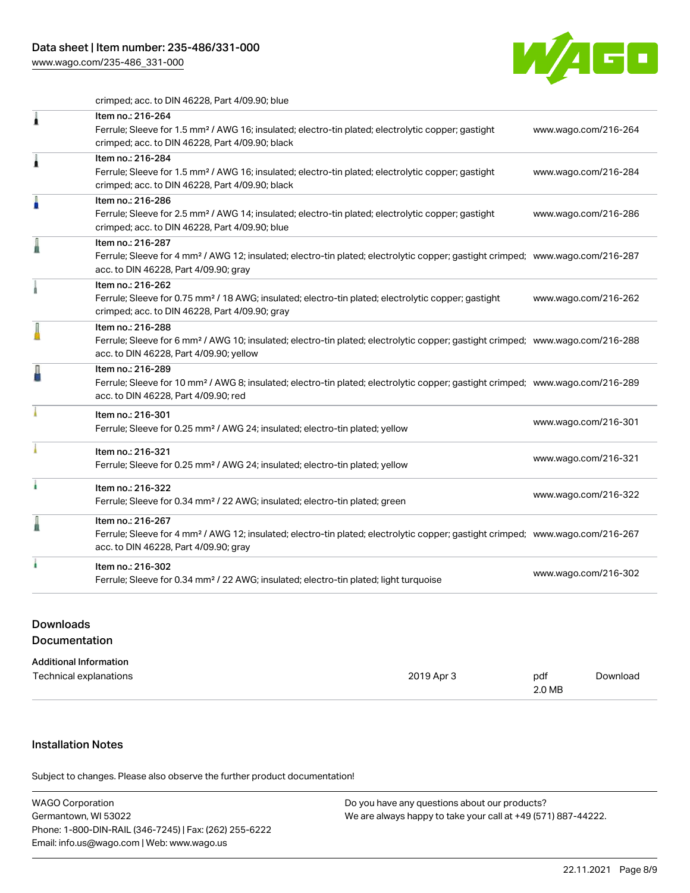[www.wago.com/235-486\\_331-000](http://www.wago.com/235-486_331-000)



crimped; acc. to DIN 46228, Part 4/09.90; blue

| 1 | Item no.: 216-264<br>Ferrule; Sleeve for 1.5 mm <sup>2</sup> / AWG 16; insulated; electro-tin plated; electrolytic copper; gastight<br>crimped; acc. to DIN 46228, Part 4/09.90; black                     | www.wago.com/216-264 |
|---|------------------------------------------------------------------------------------------------------------------------------------------------------------------------------------------------------------|----------------------|
| Â | Item no.: 216-284<br>Ferrule; Sleeve for 1.5 mm <sup>2</sup> / AWG 16; insulated; electro-tin plated; electrolytic copper; gastight<br>crimped; acc. to DIN 46228, Part 4/09.90; black                     | www.wago.com/216-284 |
| ä | Item no.: 216-286<br>Ferrule; Sleeve for 2.5 mm <sup>2</sup> / AWG 14; insulated; electro-tin plated; electrolytic copper; gastight<br>crimped; acc. to DIN 46228, Part 4/09.90; blue                      | www.wago.com/216-286 |
|   | Item no.: 216-287<br>Ferrule; Sleeve for 4 mm <sup>2</sup> / AWG 12; insulated; electro-tin plated; electrolytic copper; gastight crimped; www.wago.com/216-287<br>acc. to DIN 46228, Part 4/09.90; gray   |                      |
|   | Item no.: 216-262<br>Ferrule; Sleeve for 0.75 mm <sup>2</sup> / 18 AWG; insulated; electro-tin plated; electrolytic copper; gastight<br>crimped; acc. to DIN 46228, Part 4/09.90; gray                     | www.wago.com/216-262 |
|   | Item no.: 216-288<br>Ferrule; Sleeve for 6 mm <sup>2</sup> / AWG 10; insulated; electro-tin plated; electrolytic copper; gastight crimped; www.wago.com/216-288<br>acc. to DIN 46228, Part 4/09.90; yellow |                      |
|   | Item no.: 216-289<br>Ferrule; Sleeve for 10 mm <sup>2</sup> / AWG 8; insulated; electro-tin plated; electrolytic copper; gastight crimped; www.wago.com/216-289<br>acc. to DIN 46228, Part 4/09.90; red    |                      |
|   | Item no.: 216-301<br>Ferrule; Sleeve for 0.25 mm <sup>2</sup> / AWG 24; insulated; electro-tin plated; yellow                                                                                              | www.wago.com/216-301 |
|   | Item no.: 216-321<br>Ferrule; Sleeve for 0.25 mm <sup>2</sup> / AWG 24; insulated; electro-tin plated; yellow                                                                                              | www.wago.com/216-321 |
|   | Item no.: 216-322<br>Ferrule; Sleeve for 0.34 mm <sup>2</sup> / 22 AWG; insulated; electro-tin plated; green                                                                                               | www.wago.com/216-322 |
|   | Item no.: 216-267<br>Ferrule; Sleeve for 4 mm <sup>2</sup> / AWG 12; insulated; electro-tin plated; electrolytic copper; gastight crimped; www.wago.com/216-267<br>acc. to DIN 46228, Part 4/09.90; gray   |                      |
|   | Item no.: 216-302<br>Ferrule; Sleeve for 0.34 mm <sup>2</sup> / 22 AWG; insulated; electro-tin plated; light turquoise                                                                                     | www.wago.com/216-302 |
|   |                                                                                                                                                                                                            |                      |

# Downloads Documentation

| 2019 Apr 3 | pdf | Download |
|------------|-----|----------|
|            |     | 2.0 MB   |

# Installation Notes

.<br>Subject to changes. Please also observe the further product documentation!

| <b>WAGO Corporation</b>                                | Do you have any questions about our products?                 |
|--------------------------------------------------------|---------------------------------------------------------------|
| Germantown, WI 53022                                   | We are always happy to take your call at +49 (571) 887-44222. |
| Phone: 1-800-DIN-RAIL (346-7245)   Fax: (262) 255-6222 |                                                               |
| Email: info.us@wago.com   Web: www.wago.us             |                                                               |